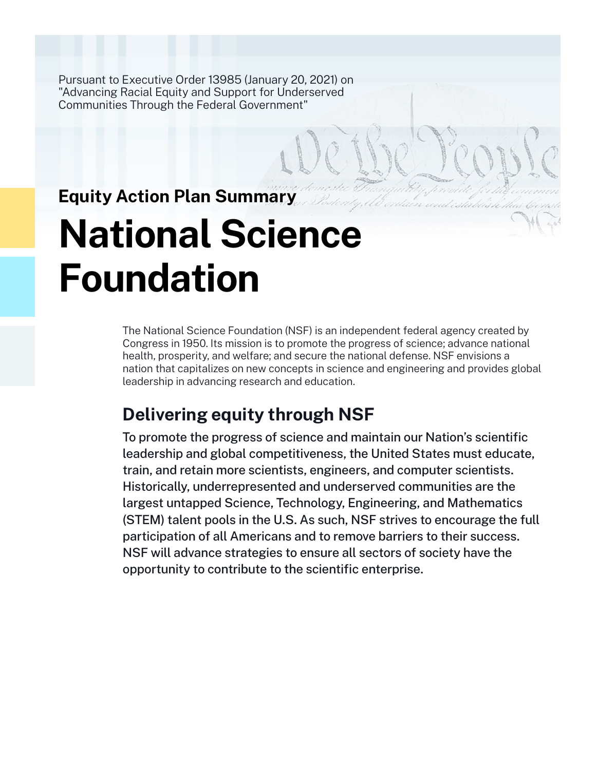Pursuant to Executive Order 13985 (January 20, 2021) on "Advancing Racial Equity and Support for Underserved Communities Through the Federal Government"

## **Equity Action Plan Summary**

# **National Science Foundation**

The National Science Foundation (NSF) is an independent federal agency created by Congress in 1950. Its mission is to promote the progress of science; advance national health, prosperity, and welfare; and secure the national defense. NSF envisions a nation that capitalizes on new concepts in science and engineering and provides global leadership in advancing research and education.

## **Delivering equity through NSF**

To promote the progress of science and maintain our Nation's scientific leadership and global competitiveness, the United States must educate, train, and retain more scientists, engineers, and computer scientists. Historically, underrepresented and underserved communities are the largest untapped Science, Technology, Engineering, and Mathematics (STEM) talent pools in the U.S. As such, NSF strives to encourage the full participation of all Americans and to remove barriers to their success. NSF will advance strategies to ensure all sectors of society have the opportunity to contribute to the scientific enterprise.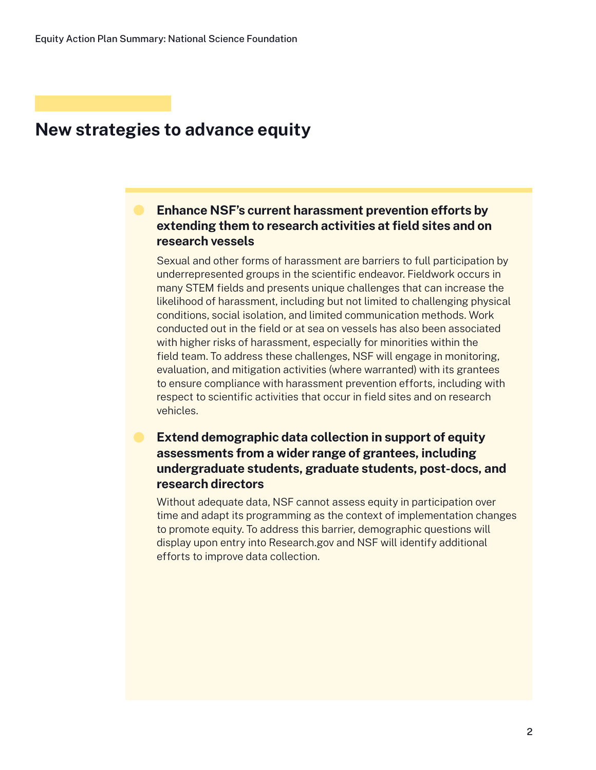### **New strategies to advance equity**

#### **Enhance NSF's current harassment prevention efforts by extending them to research activities at field sites and on research vessels**

Sexual and other forms of harassment are barriers to full participation by underrepresented groups in the scientific endeavor. Fieldwork occurs in many STEM fields and presents unique challenges that can increase the likelihood of harassment, including but not limited to challenging physical conditions, social isolation, and limited communication methods. Work conducted out in the field or at sea on vessels has also been associated with higher risks of harassment, especially for minorities within the field team. To address these challenges, NSF will engage in monitoring, evaluation, and mitigation activities (where warranted) with its grantees to ensure compliance with harassment prevention efforts, including with respect to scientific activities that occur in field sites and on research vehicles.

#### **Extend demographic data collection in support of equity assessments from a wider range of grantees, including undergraduate students, graduate students, post-docs, and research directors**

Without adequate data, NSF cannot assess equity in participation over time and adapt its programming as the context of implementation changes to promote equity. To address this barrier, demographic questions will display upon entry into Research.gov and NSF will identify additional efforts to improve data collection.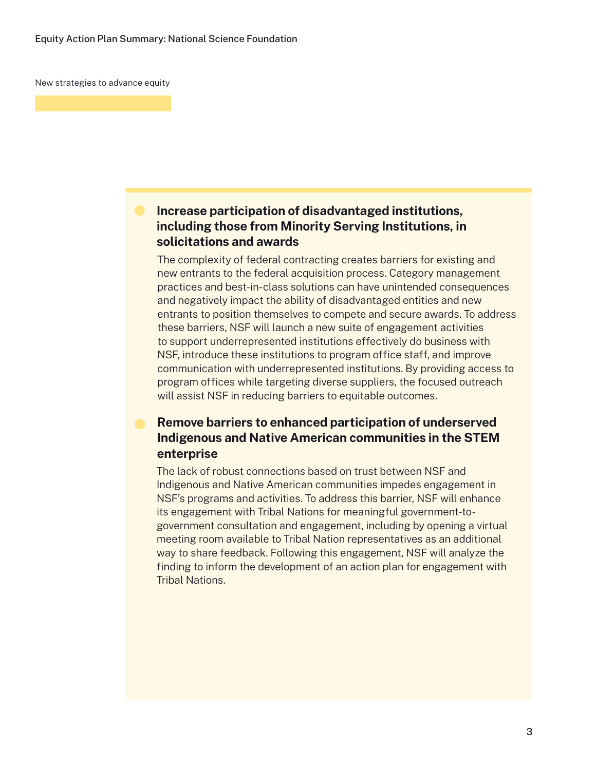New strategies to advance equity

#### **Increase participation of disadvantaged institutions, including those from Minority Serving Institutions, in solicitations and awards**

The complexity of federal contracting creates barriers for existing and new entrants to the federal acquisition process. Category management practices and best-in-class solutions can have unintended consequences and negatively impact the ability of disadvantaged entities and new entrants to position themselves to compete and secure awards. To address these barriers, NSF will launch a new suite of engagement activities to support underrepresented institutions effectively do business with NSF, introduce these institutions to program office staff, and improve communication with underrepresented institutions. By providing access to program offices while targeting diverse suppliers, the focused outreach will assist NSF in reducing barriers to equitable outcomes.

#### **Remove barriers to enhanced participation of underserved Indigenous and Native American communities in the STEM enterprise**

The lack of robust connections based on trust between NSF and Indigenous and Native American communities impedes engagement in NSF's programs and activities. To address this barrier, NSF will enhance its engagement with Tribal Nations for meaningful government-togovernment consultation and engagement, including by opening a virtual meeting room available to Tribal Nation representatives as an additional way to share feedback. Following this engagement, NSF will analyze the finding to inform the development of an action plan for engagement with Tribal Nations.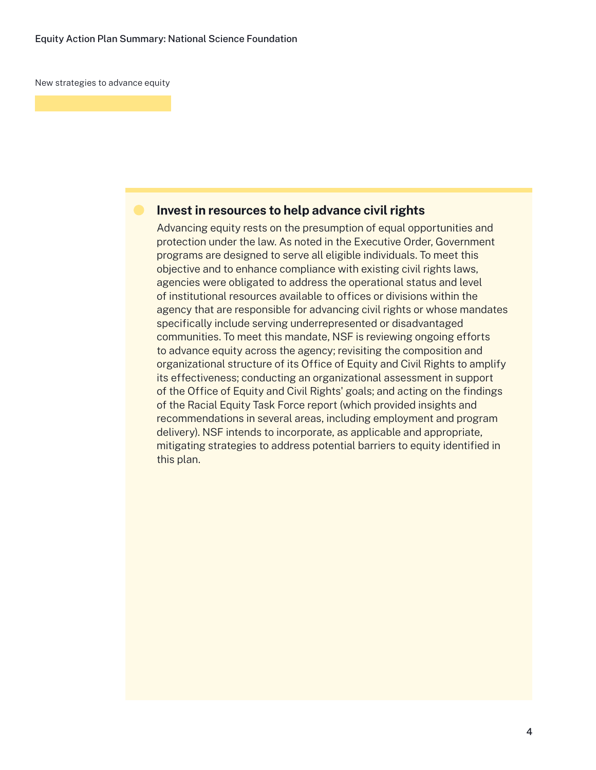New strategies to advance equity

#### **Invest in resources to help advance civil rights**

Advancing equity rests on the presumption of equal opportunities and protection under the law. As noted in the Executive Order, Government programs are designed to serve all eligible individuals. To meet this objective and to enhance compliance with existing civil rights laws, agencies were obligated to address the operational status and level of institutional resources available to offices or divisions within the agency that are responsible for advancing civil rights or whose mandates specifically include serving underrepresented or disadvantaged communities. To meet this mandate, NSF is reviewing ongoing efforts to advance equity across the agency; revisiting the composition and organizational structure of its Office of Equity and Civil Rights to amplify its effectiveness; conducting an organizational assessment in support of the Office of Equity and Civil Rights' goals; and acting on the findings of the Racial Equity Task Force report (which provided insights and recommendations in several areas, including employment and program delivery). NSF intends to incorporate, as applicable and appropriate, mitigating strategies to address potential barriers to equity identified in this plan.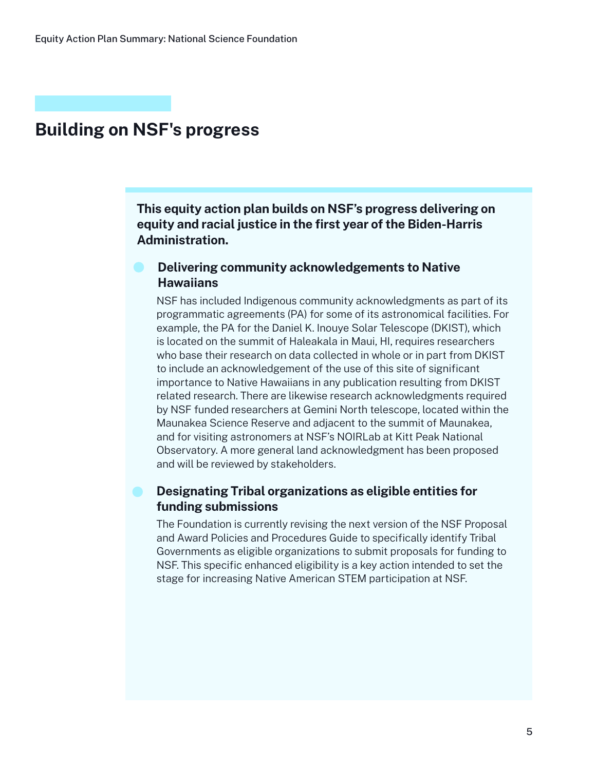## **Building on NSF's progress**

**This equity action plan builds on NSF's progress delivering on equity and racial justice in the first year of the Biden-Harris Administration.**

#### **Delivering community acknowledgements to Native Hawaiians**

NSF has included Indigenous community acknowledgments as part of its programmatic agreements (PA) for some of its astronomical facilities. For example, the PA for the Daniel K. Inouye Solar Telescope (DKIST), which is located on the summit of Haleakala in Maui, HI, requires researchers who base their research on data collected in whole or in part from DKIST to include an acknowledgement of the use of this site of significant importance to Native Hawaiians in any publication resulting from DKIST related research. There are likewise research acknowledgments required by NSF funded researchers at Gemini North telescope, located within the Maunakea Science Reserve and adjacent to the summit of Maunakea, and for visiting astronomers at NSF's NOIRLab at Kitt Peak National Observatory. A more general land acknowledgment has been proposed and will be reviewed by stakeholders.

#### **Designating Tribal organizations as eligible entities for funding submissions**

The Foundation is currently revising the next version of the NSF Proposal and Award Policies and Procedures Guide to specifically identify Tribal Governments as eligible organizations to submit proposals for funding to NSF. This specific enhanced eligibility is a key action intended to set the stage for increasing Native American STEM participation at NSF.